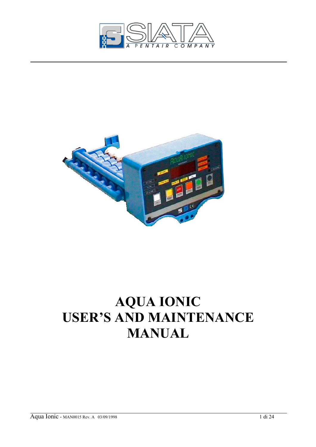



# **AQUA IONIC USER'S AND MAINTENANCE MANUAL**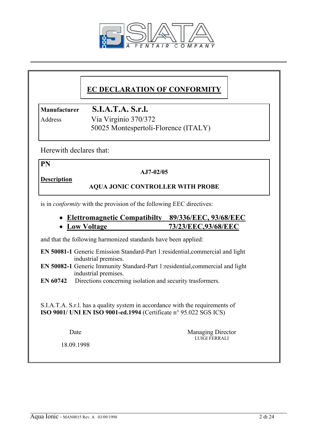

# **EC DECLARATION OF CONFORMITY**

**Manufacturer S.I.A.T.A. S.r.l.**

Address Via Virginio 370/372 50025 Montespertoli-Florence (ITALY)

Herewith declares that:

**PN** 

#### **AJ7-02/05**

**Description**

#### **AQUA JONIC CONTROLLER WITH PROBE**

is in *conformity* with the provision of the following EEC directives:

# • **Elettromagnetic Compatibilty 89/336/EEC, 93/68/EEC**

# • **Low Voltage 73/23/EEC,93/68/EEC**

and that the following harmonized standards have been applied:

**EN 50081-1** Generic Emission Standard-Part 1:residential,commercial and light industrial premises.

**EN 50082-1** Generic Immunity Standard-Part 1:residential,commercial and light industrial premises.

**EN 60742** Directions concerning isolation and security trasformers.

 S.I.A.T.A. S.r.l. has a quality system in accordance with the requirements of **ISO 9001/ UNI EN ISO 9001-ed.1994** (Certificate n° 95.022 SGS ICS)

Date Managing Director LUIGI FERRALI

18.09.1998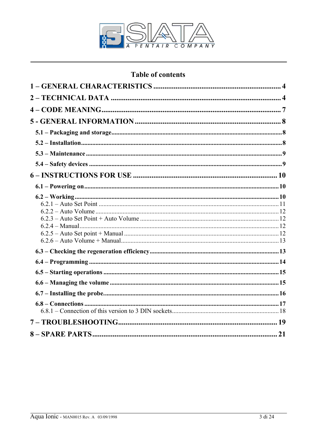

# **Table of contents**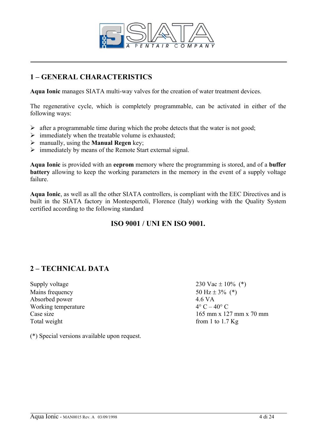

# **1 – GENERAL CHARACTERISTICS**

**Aqua Ionic** manages SIATA multi-way valves for the creation of water treatment devices.

The regenerative cycle, which is completely programmable, can be activated in either of the following ways:

- $\triangleright$  after a programmable time during which the probe detects that the water is not good;
- $\triangleright$  immediately when the treatable volume is exhausted;
- ¾ manually, using the **Manual Regen** key;
- $\triangleright$  immediately by means of the Remote Start external signal.

**Aqua Ionic** is provided with an **eeprom** memory where the programming is stored, and of a **buffer battery** allowing to keep the working parameters in the memory in the event of a supply voltage failure.

**Aqua Ionic**, as well as all the other SIATA controllers, is compliant with the EEC Directives and is built in the SIATA factory in Montespertoli, Florence (Italy) working with the Quality System certified according to the following standard

## **ISO 9001 / UNI EN ISO 9001.**

# **2 – TECHNICAL DATA**

Supply voltage  $230 \text{ Vac} \pm 10\%$  (\*) Mains frequency  $50 \text{ Hz} \pm 3\%$  (\*) Absorbed power 4.6 VA Working temperature  $4^{\circ}$  C –  $40^{\circ}$  C Total weight from 1 to 1.7 Kg

Case size 165 mm x 127 mm x 70 mm

(\*) Special versions available upon request.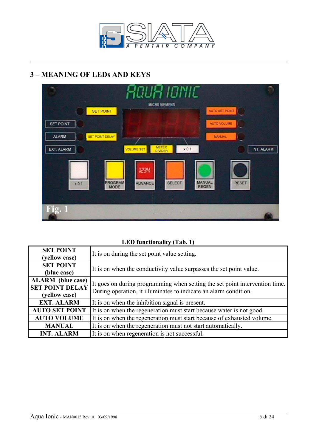

# **3 – MEANING OF LEDs AND KEYS**



#### **LED functionality (Tab. 1)**

| <b>SET POINT</b><br>(yellow case)                                   | It is on during the set point value setting.                                                                                                    |
|---------------------------------------------------------------------|-------------------------------------------------------------------------------------------------------------------------------------------------|
| <b>SET POINT</b><br>(blue case)                                     | It is on when the conductivity value surpasses the set point value.                                                                             |
| <b>ALARM</b> (blue case)<br><b>SET POINT DELAY</b><br>(yellow case) | It goes on during programming when setting the set point intervention time.<br>During operation, it illuminates to indicate an alarm condition. |
| <b>EXT. ALARM</b>                                                   | It is on when the inhibition signal is present.                                                                                                 |
| <b>AUTO SET POINT</b>                                               | It is on when the regeneration must start because water is not good.                                                                            |
| <b>AUTO VOLUME</b>                                                  | It is on when the regeneration must start because of exhausted volume.                                                                          |
| <b>MANUAL</b>                                                       | It is on when the regeneration must not start automatically.                                                                                    |
| <b>INT. ALARM</b>                                                   | It is on when regeneration is not successful.                                                                                                   |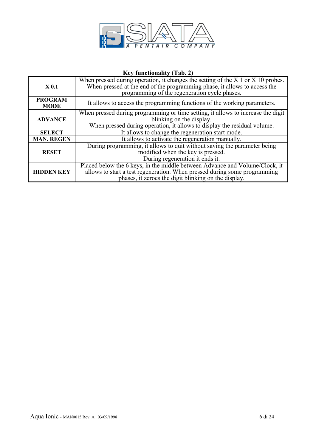

#### **Key functionality (Tab. 2)**

|                   | When pressed during operation, it changes the setting of the $X$ 1 or $X$ 10 probes. |
|-------------------|--------------------------------------------------------------------------------------|
| X <sub>0.1</sub>  | When pressed at the end of the programming phase, it allows to access the            |
|                   |                                                                                      |
|                   | programming of the regeneration cycle phases.                                        |
| <b>PROGRAM</b>    |                                                                                      |
|                   | It allows to access the programming functions of the working parameters.             |
| <b>MODE</b>       |                                                                                      |
|                   | When pressed during programming or time setting, it allows to increase the digit     |
| <b>ADVANCE</b>    | blinking on the display.                                                             |
|                   |                                                                                      |
|                   | When pressed during operation, it allows to display the residual volume.             |
| <b>SELECT</b>     | It allows to change the regeneration start mode.                                     |
| <b>MAN. REGEN</b> | It allows to activate the regeneration manually.                                     |
|                   | During programming, it allows to quit without saving the parameter being             |
| <b>RESET</b>      | modified when the key is pressed.                                                    |
|                   | During regeneration it ends it.                                                      |
|                   | Placed below the 6 keys, in the middle between Advance and Volume/Clock, it          |
| <b>HIDDEN KEY</b> | allows to start a test regeneration. When pressed during some programming            |
|                   | phases, it zeroes the digit blinking on the display.                                 |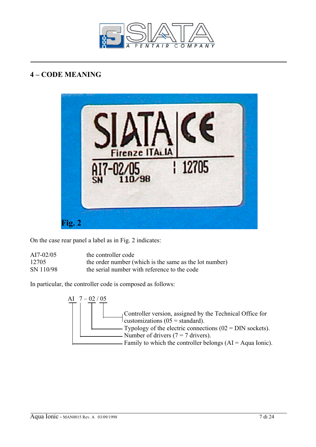

# **4 – CODE MEANING**



On the case rear panel a label as in Fig. 2 indicates:

| $AI7-02/05$ | the controller code                                    |
|-------------|--------------------------------------------------------|
| 12705       | the order number (which is the same as the lot number) |
| SN 110/98   | the serial number with reference to the code           |

In particular, the controller code is composed as follows:

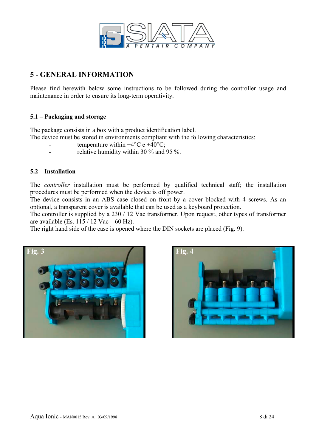

# **5 - GENERAL INFORMATION**

Please find herewith below some instructions to be followed during the controller usage and maintenance in order to ensure its long-term operativity.

#### **5.1 – Packaging and storage**

The package consists in a box with a product identification label.

The device must be stored in environments compliant with the following characteristics:

- temperature within  $+4$ °C e  $+40$ °C;
- relative humidity within 30 % and 95 %.

#### **5.2 – Installation**

The *controller* installation must be performed by qualified technical staff; the installation procedures must be performed when the device is off power.

The device consists in an ABS case closed on front by a cover blocked with 4 screws. As an optional, a transparent cover is available that can be used as a keyboard protection.

The controller is supplied by a 230 / 12 Vac transformer. Upon request, other types of transformer are available (Es.  $115 / 12$  Vac – 60 Hz).

The right hand side of the case is opened where the DIN sockets are placed (Fig. 9).



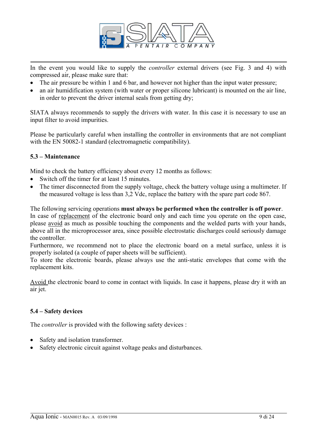

In the event you would like to supply the *controller* external drivers (see Fig. 3 and 4) with compressed air, please make sure that:

- The air pressure be within 1 and 6 bar, and however not higher than the input water pressure;
- an air humidification system (with water or proper silicone lubricant) is mounted on the air line. in order to prevent the driver internal seals from getting dry;

SIATA always recommends to supply the drivers with water. In this case it is necessary to use an input filter to avoid impurities.

Please be particularly careful when installing the controller in environments that are not compliant with the EN 50082-1 standard (electromagnetic compatibility).

#### **5.3 – Maintenance**

Mind to check the battery efficiency about every 12 months as follows:

- Switch off the timer for at least 15 minutes.
- The timer disconnected from the supply voltage, check the battery voltage using a multimeter. If the measured voltage is less than 3,2 Vdc, replace the battery with the spare part code 867.

The following servicing operations **must always be performed when the controller is off power**. In case of replacement of the electronic board only and each time you operate on the open case, please avoid as much as possible touching the components and the welded parts with your hands, above all in the microprocessor area, since possible electrostatic discharges could seriously damage the controller.

Furthermore, we recommend not to place the electronic board on a metal surface, unless it is properly isolated (a couple of paper sheets will be sufficient).

To store the electronic boards, please always use the anti-static envelopes that come with the replacement kits.

Avoid the electronic board to come in contact with liquids. In case it happens, please dry it with an air jet.

#### **5.4 – Safety devices**

The *controller* is provided with the following safety devices :

- Safety and isolation transformer.
- Safety electronic circuit against voltage peaks and disturbances.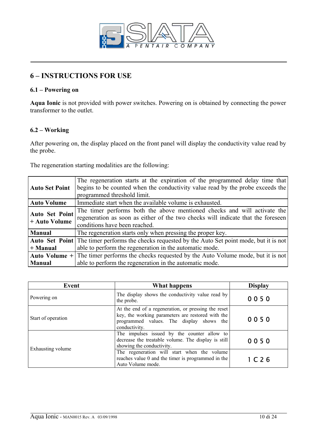

# **6 – INSTRUCTIONS FOR USE**

#### **6.1 – Powering on**

**Aqua Ionic** is not provided with power switches. Powering on is obtained by connecting the power transformer to the outlet.

#### **6.2 – Working**

After powering on, the display placed on the front panel will display the conductivity value read by the probe.

The regeneration starting modalities are the following:

| <b>Auto Set Point</b> | The regeneration starts at the expiration of the programmed delay time that                             |  |
|-----------------------|---------------------------------------------------------------------------------------------------------|--|
|                       | begins to be counted when the conductivity value read by the probe exceeds the                          |  |
|                       | programmed threshold limit.                                                                             |  |
| <b>Auto Volume</b>    | Immediate start when the available volume is exhausted.                                                 |  |
| <b>Auto Set Point</b> | The timer performs both the above mentioned checks and will activate the                                |  |
| + Auto Volume         | regeneration as soon as either of the two checks will indicate that the foreseen                        |  |
|                       | conditions have been reached.                                                                           |  |
| <b>Manual</b>         | The regeneration starts only when pressing the proper key.                                              |  |
|                       | <b>Auto Set Point</b> The timer performs the checks requested by the Auto Set point mode, but it is not |  |
| $+$ Manual            | able to perform the regeneration in the automatic mode.                                                 |  |
|                       | <b>Auto Volume</b> $+$ The timer performs the checks requested by the Auto Volume mode, but it is not   |  |
| <b>Manual</b>         | able to perform the regeneration in the automatic mode.                                                 |  |
|                       |                                                                                                         |  |

| Event              | What happens                                                                                                                                                          | <b>Display</b> |
|--------------------|-----------------------------------------------------------------------------------------------------------------------------------------------------------------------|----------------|
| Powering on        | The display shows the conductivity value read by<br>the probe.                                                                                                        | 0050           |
| Start of operation | At the end of a regeneration, or pressing the reset<br>key, the working parameters are restored with the<br>programmed values. The display shows the<br>conductivity. | 0050           |
| Exhausting volume  | The impulses issued by the counter allow to<br>decrease the treatable volume. The display is still<br>showing the conductivity.                                       | 0050           |
|                    | The regeneration will start when the volume<br>reaches value 0 and the timer is programmed in the<br>Auto Volume mode.                                                | 1 C26          |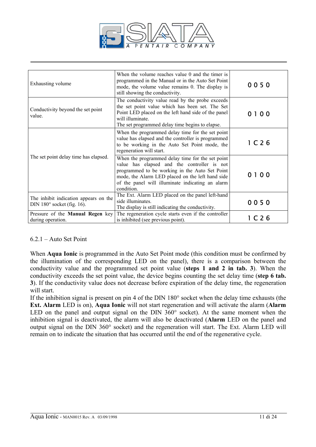

| Exhausting volume                                                          | When the volume reaches value 0 and the timer is<br>programmed in the Manual or in the Auto Set Point<br>mode, the volume value remains 0. The display is<br>still showing the conductivity.                                                                            | 0050                                |
|----------------------------------------------------------------------------|-------------------------------------------------------------------------------------------------------------------------------------------------------------------------------------------------------------------------------------------------------------------------|-------------------------------------|
| Conductivity beyond the set point<br>value.                                | The conductivity value read by the probe exceeds<br>the set point value which has been set. The Set<br>Point LED placed on the left hand side of the panel<br>will illuminate.<br>The set programmed delay time begins to elapse.                                       | 0 <sub>0</sub><br>0<br>$\mathbf{1}$ |
|                                                                            | When the programmed delay time for the set point<br>value has elapsed and the controller is programmed<br>to be working in the Auto Set Point mode, the<br>regeneration will start.                                                                                     | 1 C26                               |
| The set point delay time has elapsed.                                      | When the programmed delay time for the set point<br>value has elapsed and the controller is not<br>programmed to be working in the Auto Set Point<br>mode, the Alarm LED placed on the left hand side<br>of the panel will illuminate indicating an alarm<br>condition. | 0100                                |
| The inhibit indication appears on the<br>DIN $180^\circ$ socket (fig. 16). | The Ext. Alarm LED placed on the panel left-hand<br>side illuminates.<br>The display is still indicating the conductivity.                                                                                                                                              | 0050                                |
| Pressure of the <b>Manual Regen</b> key<br>during operation.               | The regeneration cycle starts even if the controller<br>is inhibited (see previous point).                                                                                                                                                                              | 1 C 2 6                             |

#### 6.2.1 – Auto Set Point

When **Aqua Ionic** is programmed in the Auto Set Point mode (this condition must be confirmed by the illumination of the corresponding LED on the panel), there is a comparison between the conductivity value and the programmed set point value (**steps 1 and 2 in tab. 3**). When the conductivity exceeds the set point value, the device begins counting the set delay time (**step 6 tab. 3**). If the conductivity value does not decrease before expiration of the delay time, the regeneration will start.

If the inhibition signal is present on pin 4 of the DIN 180° socket when the delay time exhausts (the **Ext. Alarm** LED is on), **Aqua Ionic** will not start regeneration and will activate the alarm (**Alarm** LED on the panel and output signal on the DIN 360° socket). At the same moment when the inhibition signal is deactivated, the alarm will also be deactivated (**Alarm** LED on the panel and output signal on the DIN 360° socket) and the regeneration will start. The Ext. Alarm LED will remain on to indicate the situation that has occurred until the end of the regenerative cycle.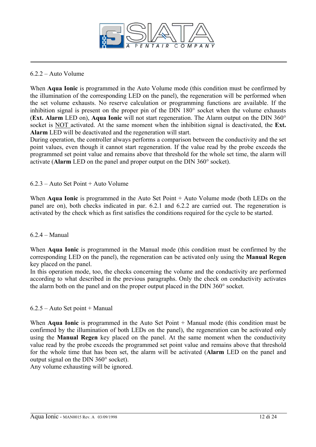

#### 6.2.2 – Auto Volume

When **Aqua Ionic** is programmed in the Auto Volume mode (this condition must be confirmed by the illumination of the corresponding LED on the panel), the regeneration will be performed when the set volume exhausts. No reserve calculation or programming functions are available. If the inhibition signal is present on the proper pin of the DIN 180° socket when the volume exhausts (**Ext. Alarm** LED on), **Aqua Ionic** will not start regeneration. The Alarm output on the DIN 360° socket is NOT activated. At the same moment when the inhibition signal is deactivated, the **Ext. Alarm** LED will be deactivated and the regeneration will start.

During operation, the controller always performs a comparison between the conductivity and the set point values, even though it cannot start regeneration. If the value read by the probe exceeds the programmed set point value and remains above that threshold for the whole set time, the alarm will activate (**Alarm** LED on the panel and proper output on the DIN 360° socket).

#### 6.2.3 – Auto Set Point + Auto Volume

When **Aqua Ionic** is programmed in the Auto Set Point + Auto Volume mode (both LEDs on the panel are on), both checks indicated in par. 6.2.1 and 6.2.2 are carried out. The regeneration is activated by the check which as first satisfies the conditions required for the cycle to be started.

#### 6.2.4 – Manual

When **Aqua Ionic** is programmed in the Manual mode (this condition must be confirmed by the corresponding LED on the panel), the regeneration can be activated only using the **Manual Regen** key placed on the panel.

In this operation mode, too, the checks concerning the volume and the conductivity are performed according to what described in the previous paragraphs. Only the check on conductivity activates the alarm both on the panel and on the proper output placed in the DIN 360° socket.

#### 6.2.5 – Auto Set point + Manual

When **Agua Ionic** is programmed in the Auto Set Point + Manual mode (this condition must be confirmed by the illumination of both LEDs on the panel), the regeneration can be activated only using the **Manual Regen** key placed on the panel. At the same moment when the conductivity value read by the probe exceeds the programmed set point value and remains above that threshold for the whole time that has been set, the alarm will be activated (**Alarm** LED on the panel and output signal on the DIN 360° socket).

Any volume exhausting will be ignored.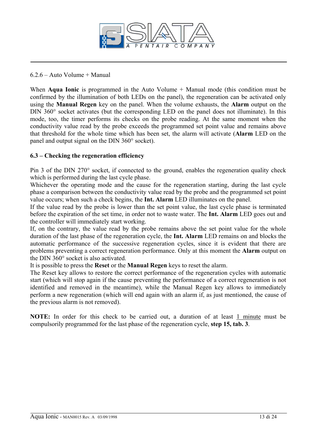

#### 6.2.6 – Auto Volume + Manual

When **Aqua Ionic** is programmed in the Auto Volume + Manual mode (this condition must be confirmed by the illumination of both LEDs on the panel), the regeneration can be activated only using the **Manual Regen** key on the panel. When the volume exhausts, the **Alarm** output on the DIN 360° socket activates (but the corresponding LED on the panel does not illuminate). In this mode, too, the timer performs its checks on the probe reading. At the same moment when the conductivity value read by the probe exceeds the programmed set point value and remains above that threshold for the whole time which has been set, the alarm will activate (**Alarm** LED on the panel and output signal on the DIN 360° socket).

#### **6.3 – Checking the regeneration efficiency**

Pin 3 of the DIN 270° socket, if connected to the ground, enables the regeneration quality check which is performed during the last cycle phase.

Whichever the operating mode and the cause for the regeneration starting, during the last cycle phase a comparison between the conductivity value read by the probe and the programmed set point value occurs; when such a check begins, the **Int. Alarm** LED illuminates on the panel.

If the value read by the probe is lower than the set point value, the last cycle phase is terminated before the expiration of the set time, in order not to waste water. The **Int. Alarm** LED goes out and the controller will immediately start working.

If, on the contrary, the value read by the probe remains above the set point value for the whole duration of the last phase of the regeneration cycle, the **Int. Alarm** LED remains on and blocks the automatic performance of the successive regeneration cycles, since it is evident that there are problems preventing a correct regeneration performance. Only at this moment the **Alarm** output on the DIN 360° socket is also activated.

It is possible to press the **Reset** or the **Manual Regen** keys to reset the alarm.

The Reset key allows to restore the correct performance of the regeneration cycles with automatic start (which will stop again if the cause preventing the performance of a correct regeneration is not identified and removed in the meantime), while the Manual Regen key allows to immediately perform a new regeneration (which will end again with an alarm if, as just mentioned, the cause of the previous alarm is not removed).

**NOTE:** In order for this check to be carried out, a duration of at least 1 minute must be compulsorily programmed for the last phase of the regeneration cycle, **step 15, tab. 3**.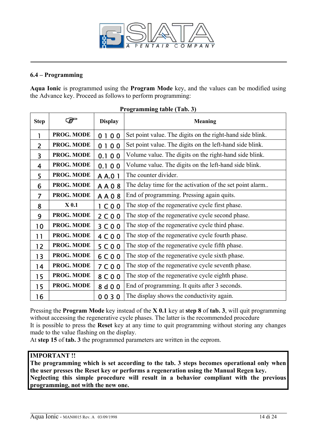

#### **6.4 – Programming**

**Aqua Ionic** is programmed using the **Program Mode** key, and the values can be modified using the Advance key. Proceed as follows to perform programming:

| <b>Step</b> |            | <b>Display</b> | <b>Meaning</b>                                            |
|-------------|------------|----------------|-----------------------------------------------------------|
| 1           | PROG. MODE | 0100           | Set point value. The digits on the right-hand side blink. |
| 2           | PROG. MODE | 0100           | Set point value. The digits on the left-hand side blink.  |
| 3           | PROG. MODE | 0.100          | Volume value. The digits on the right-hand side blink.    |
| 4           | PROG. MODE | 0.100          | Volume value. The digits on the left-hand side blink.     |
| 5           | PROG. MODE | A A.0 1        | The counter divider.                                      |
| 6           | PROG. MODE | <b>AA08</b>    | The delay time for the activation of the set point alarm  |
| 7           | PROG. MODE | <b>AA08</b>    | End of programming. Pressing again quits.                 |
| 8           | $X_0.1$    | 1 C00          | The stop of the regenerative cycle first phase.           |
| 9           | PROG. MODE | 2C00           | The stop of the regenerative cycle second phase.          |
| 10          | PROG. MODE | 3C00           | The stop of the regenerative cycle third phase.           |
| 11          | PROG. MODE | 4 C 0 0        | The stop of the regenerative cycle fourth phase.          |
| 12          | PROG. MODE | 5 C 0 0        | The stop of the regenerative cycle fifth phase.           |
| 13          | PROG. MODE | 6 C 0 0        | The stop of the regenerative cycle sixth phase.           |
| 14          | PROG. MODE | 7 C 0 0        | The stop of the regenerative cycle seventh phase.         |
| 15          | PROG. MODE | 8 C 0 0        | The stop of the regenerative cycle eighth phase.          |
| 15          | PROG. MODE | 8 d 0 0        | End of programming. It quits after 3 seconds.             |
| 16          |            | 0030           | The display shows the conductivity again.                 |

#### **Programming table (Tab. 3)**

Pressing the **Program Mode** key instead of the **X 0.1** key at **step 8** of **tab. 3**, will quit programming without accessing the regenerative cycle phases. The latter is the recommended procedure It is possible to press the **Reset** key at any time to quit programming without storing any changes made to the value flashing on the display.

At **step 15** of **tab. 3** the programmed parameters are written in the eeprom.

#### **IMPORTANT !!**

**The programming which is set according to the tab. 3 steps becomes operational only when the user presses the Reset key or performs a regeneration using the Manual Regen key. Neglecting this simple procedure will result in a behavior compliant with the previous programming, not with the new one.**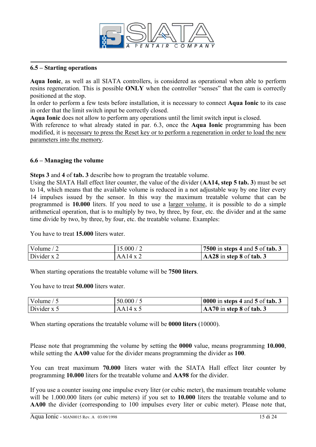

#### **6.5 – Starting operations**

**Aqua Ionic**, as well as all SIATA controllers, is considered as operational when able to perform resins regeneration. This is possible **ONLY** when the controller "senses" that the cam is correctly positioned at the stop.

In order to perform a few tests before installation, it is necessary to connect **Aqua Ionic** to its case in order that the limit switch input be correctly closed.

**Aqua Ionic** does not allow to perform any operations until the limit switch input is closed.

With reference to what already stated in par. 6.3, once the **Aqua Ionic** programming has been modified, it is necessary to press the Reset key or to perform a regeneration in order to load the new parameters into the memory.

#### **6.6 – Managing the volume**

**Steps 3** and **4** of **tab. 3** describe how to program the treatable volume.

Using the SIATA Hall effect liter counter, the value of the divider (**AA14, step 5 tab. 3**) must be set to 14, which means that the available volume is reduced in a not adjustable way by one liter every 14 impulses issued by the sensor. In this way the maximum treatable volume that can be programmed is **10.000** liters. If you need to use a larger volume, it is possible to do a simple arithmetical operation, that is to multiply by two, by three, by four, etc. the divider and at the same time divide by two, by three, by four, etc. the treatable volume. Examples:

You have to treat **15.000** liters water.

| Volume $/2$   | 15.000 / 2      | 7500 in steps 4 and 5 of tab. 3     |
|---------------|-----------------|-------------------------------------|
| Divider $x$ 2 | $AA14 \times 2$ | $\textsf{AA28}$ in step 8 of tab. 3 |

When starting operations the treatable volume will be **7500 liters**.

You have to treat **50.000** liters water.

| Volume $/5$   | 50.000 / 5      | $\vert 0000$ in steps 4 and 5 of tab. 3 |
|---------------|-----------------|-----------------------------------------|
| Divider $x$ 5 | $AA14 \times 5$ | $AA70$ in step 8 of tab. 3              |

When starting operations the treatable volume will be **0000 liters** (10000).

Please note that programming the volume by setting the **0000** value, means programming **10.000**, while setting the **AA00** value for the divider means programming the divider as **100**.

You can treat maximum **70.000** liters water with the SIATA Hall effect liter counter by programming **10.000** liters for the treatable volume and **AA98** for the divider.

If you use a counter issuing one impulse every liter (or cubic meter), the maximum treatable volume will be 1.000.000 liters (or cubic meters) if you set to **10.000** liters the treatable volume and to **AA00** the divider (corresponding to 100 impulses every liter or cubic meter). Please note that,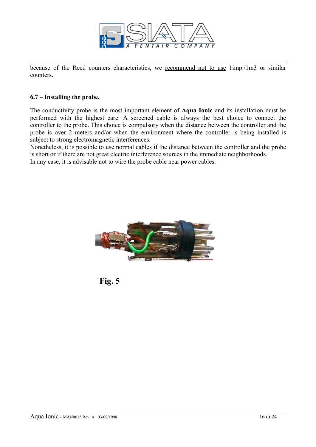

because of the Reed counters characteristics, we recommend not to use 1imp./1m3 or similar counters.

#### **6.7 – Installing the probe.**

The conductivity probe is the most important element of **Aqua Ionic** and its installation must be performed with the highest care. A screened cable is always the best choice to connect the controller to the probe. This choice is compulsory when the distance between the controller and the probe is over 2 meters and/or when the environment where the controller is being installed is subject to strong electromagnetic interferences.

Nonetheless, it is possible to use normal cables if the distance between the controller and the probe is short or if there are not great electric interference sources in the immediate neighborhoods. In any case, it is advisable not to wire the probe cable near power cables.



**Fig. 5**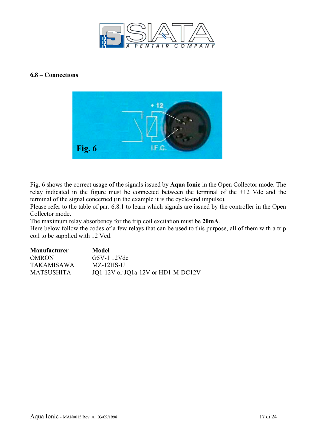

#### **6.8 – Connections**



Fig. 6 shows the correct usage of the signals issued by **Aqua Ionic** in the Open Collector mode. The relay indicated in the figure must be connected between the terminal of the +12 Vdc and the terminal of the signal concerned (in the example it is the cycle-end impulse).

Please refer to the table of par. 6.8.1 to learn which signals are issued by the controller in the Open Collector mode.

The maximum relay absorbency for the trip coil excitation must be **20mA**.

Here below follow the codes of a few relays that can be used to this purpose, all of them with a trip coil to be supplied with 12 Vcd.

| <b>Manufacturer</b> | Model                              |
|---------------------|------------------------------------|
| <b>OMRON</b>        | $G5V-112Vdc$                       |
| <b>TAKAMISAWA</b>   | $MZ-12HS-U$                        |
| <b>MATSUSHITA</b>   | JQ1-12V or JQ1a-12V or HD1-M-DC12V |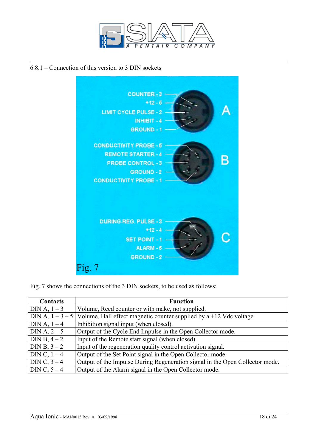

#### 6.8.1 – Connection of this version to 3 DIN sockets



Fig. 7 shows the connections of the 3 DIN sockets, to be used as follows:

| <b>Contacts</b> | <b>Function</b>                                                                    |
|-----------------|------------------------------------------------------------------------------------|
| $DIN A, 1 - 3$  | Volume, Reed counter or with make, not supplied.                                   |
|                 | DIN A, $1-3-5$ Volume, Hall effect magnetic counter supplied by a +12 Vdc voltage. |
| DIN A, $1-4$    | Inhibition signal input (when closed).                                             |
| DIN A, $2 - 5$  | Output of the Cycle End Impulse in the Open Collector mode.                        |
| DIN B, $4 - 2$  | Input of the Remote start signal (when closed).                                    |
| DIN B, $3 - 2$  | Input of the regeneration quality control activation signal.                       |
| DIN C, $1-4$    | Output of the Set Point signal in the Open Collector mode.                         |
| DIN C, $3-4$    | Output of the Impulse During Regeneration signal in the Open Collector mode.       |
| DIN C, $5-4$    | Output of the Alarm signal in the Open Collector mode.                             |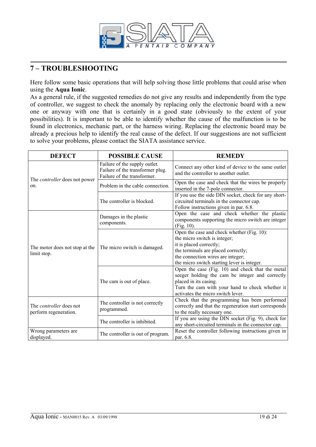

# **7 – TROUBLESHOOTING**

Here follow some basic operations that will help solving those little problems that could arise when using the **Aqua Ionic**.

As a general rule, if the suggested remedies do not give any results and independently from the type of controller, we suggest to check the anomaly by replacing only the electronic board with a new one or anyway with one that is certainly in a good state (obviously to the extent of your possibilities). It is important to be able to identify whether the cause of the malfunction is to be found in electronics, mechanic part, or the harness wiring. Replacing the electronic board may be already a precious help to identify the real cause of the defect. If our suggestions are not sufficient to solve your problems, please contact the SIATA assistance service.

| <b>DEFECT</b>                                           | <b>POSSIBLE CAUSE</b>                                                                            | <b>REMEDY</b>                                                                                                                                                                                                                    |
|---------------------------------------------------------|--------------------------------------------------------------------------------------------------|----------------------------------------------------------------------------------------------------------------------------------------------------------------------------------------------------------------------------------|
| The <i>controller</i> does not power<br>on.             | Failure of the supply outlet.<br>Failure of the transformer plug.<br>Failure of the transformer. | Connect any other kind of device to the same outlet<br>and the controller to another outlet.                                                                                                                                     |
|                                                         | Problem in the cable connection.                                                                 | Open the case and check that the wires be properly<br>inserted in the 7-pole connector.                                                                                                                                          |
|                                                         | The controller is blocked.                                                                       | If you use the side DIN socket, check for any short-<br>circuited terminals in the connector cap.<br>Follow instructions given in par. 6.8.                                                                                      |
| The motor does not stop at the<br>limit stop.           | Damages in the plastic<br>components.                                                            | Open the case and check whether the plastic<br>components supporting the micro switch are integer<br>(Fig. 10).                                                                                                                  |
|                                                         | The micro switch is damaged.                                                                     | Open the case and check whether (Fig. 10):<br>the micro switch is integer;<br>it is placed correctly;<br>the terminals are placed correctly;<br>the connection wires are integer;<br>the micro switch starting lever is integer. |
|                                                         | The cam is out of place.                                                                         | Open the case (Fig. 10) and check that the metal<br>seeger holding the cam be integer and correctly<br>placed in its casing.<br>Turn the cam with your hand to check whether it<br>activates the micro switch lever.             |
| The <i>controller</i> does not<br>perform regeneration. | The controller is not correctly<br>programmed.                                                   | Check that the programming has been performed<br>correctly and that the regeneration start corresponds<br>to the really necessary one.                                                                                           |
|                                                         | The controller is inhibited.                                                                     | If you are using the DIN socket (Fig. 9), check for<br>any short-circuited terminals in the connector cap.                                                                                                                       |
| Wrong parameters are<br>displayed.                      | The controller is out of program.                                                                | Reset the controller following instructions given in<br>par. 6.8.                                                                                                                                                                |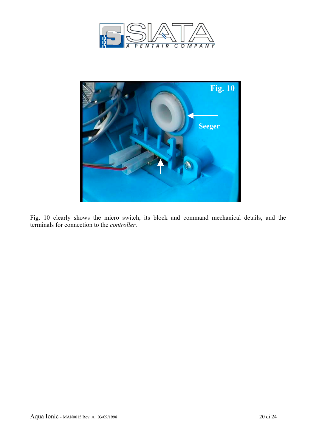



Fig. 10 clearly shows the micro switch, its block and command mechanical details, and the terminals for connection to the *controller*.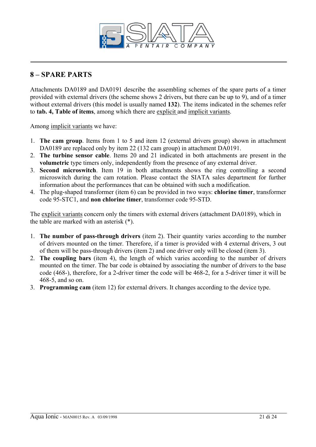

# **8 – SPARE PARTS**

Attachments DA0189 and DA0191 describe the assembling schemes of the spare parts of a timer provided with external drivers (the scheme shows 2 drivers, but there can be up to 9), and of a timer without external drivers (this model is usually named **132**). The items indicated in the schemes refer to **tab. 4, Table of items**, among which there are explicit and implicit variants.

Among implicit variants we have:

- 1. **The cam group**. Items from 1 to 5 and item 12 (external drivers group) shown in attachment DA0189 are replaced only by item 22 (132 cam group) in attachment DA0191.
- 2. **The turbine sensor cable**. Items 20 and 21 indicated in both attachments are present in the **volumetric** type timers only, independently from the presence of any external driver.
- 3. **Second microswitch**. Item 19 in both attachments shows the ring controlling a second microswitch during the cam rotation. Please contact the SIATA sales department for further information about the performances that can be obtained with such a modification.
- 4. The plug-shaped transformer (item 6) can be provided in two ways: **chlorine timer**, transformer code 95-STC1, and **non chlorine timer**, transformer code 95-STD.

The explicit variants concern only the timers with external drivers (attachment DA0189), which in the table are marked with an asterisk (\*).

- 1. **The number of pass-through drivers** (item 2). Their quantity varies according to the number of drivers mounted on the timer. Therefore, if a timer is provided with 4 external drivers, 3 out of them will be pass-through drivers (item 2) and one driver only will be closed (item 3).
- 2. **The coupling bars** (item 4), the length of which varies according to the number of drivers mounted on the timer. The bar code is obtained by associating the number of drivers to the base code (468-), therefore, for a 2-driver timer the code will be 468-2, for a 5-driver timer it will be 468-5, and so on.
- 3. **Programming cam** (item 12) for external drivers. It changes according to the device type.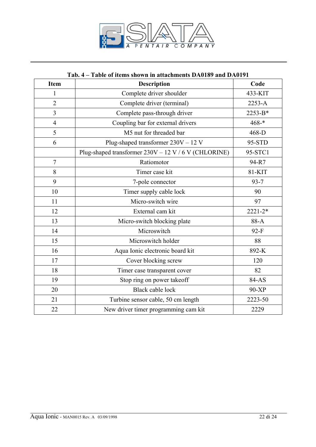

### **Tab. 4 – Table of items shown in attachments DA0189 and DA0191**

| <b>Item</b>    | <b>Description</b>                                   | Code        |
|----------------|------------------------------------------------------|-------------|
| $\mathbf{1}$   | Complete driver shoulder                             | 433-KIT     |
| $\overline{2}$ | Complete driver (terminal)                           | 2253-A      |
| 3              | Complete pass-through driver                         | 2253-B*     |
| $\overline{4}$ | Coupling bar for external drivers                    | $468 -$ *   |
| 5              | M5 nut for threaded bar                              | 468-D       |
| 6              | Plug-shaped transformer 230V - 12 V                  | 95-STD      |
|                | Plug-shaped transformer 230V - 12 V / 6 V (CHLORINE) | 95-STC1     |
| $\overline{7}$ | Ratiomotor                                           | 94-R7       |
| 8              | Timer case kit                                       | 81-KIT      |
| 9              | 7-pole connector                                     | $93 - 7$    |
| 10             | Timer supply cable lock                              | 90          |
| 11             | Micro-switch wire                                    | 97          |
| 12             | External cam kit                                     | $2221 - 2*$ |
| 13             | Micro-switch blocking plate                          | 88-A        |
| 14             | Microswitch                                          | $92-F$      |
| 15             | Microswitch holder                                   | 88          |
| 16             | Aqua Ionic electronic board kit                      | 892-K       |
| 17             | Cover blocking screw                                 | 120         |
| 18             | Timer case transparent cover                         | 82          |
| 19             | Stop ring on power takeoff                           | 84-AS       |
| 20             | <b>Black cable lock</b>                              | 90-XP       |
| 21             | Turbine sensor cable, 50 cm length                   | 2223-50     |
| 22             | New driver timer programming cam kit                 | 2229        |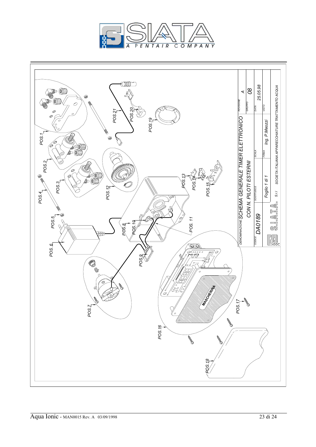